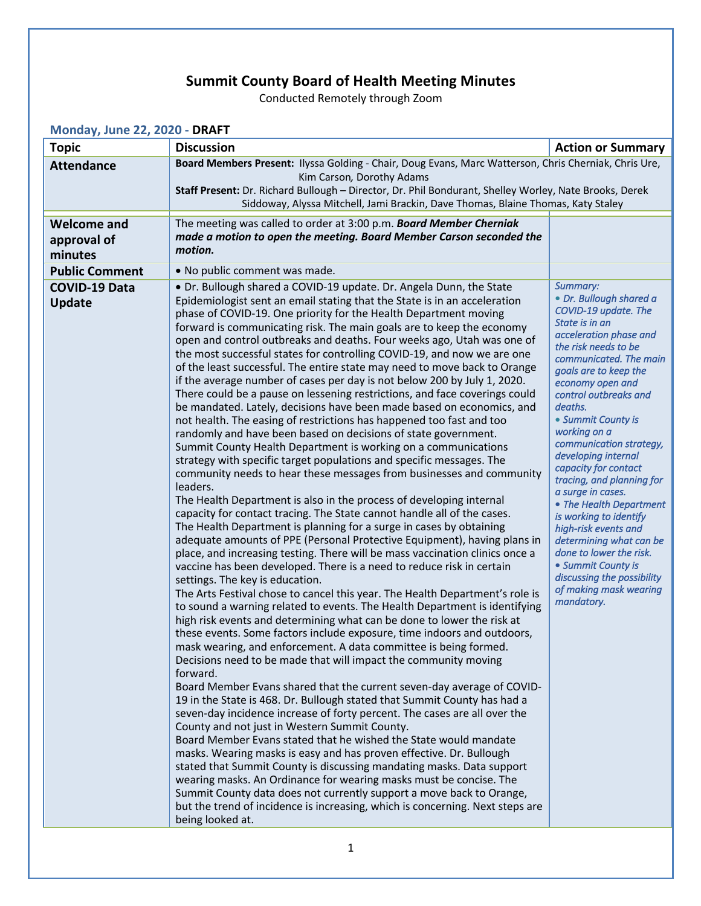## **Summit County Board of Health Meeting Minutes**

Conducted Remotely through Zoom

| <b>Topic</b>                                 | <b>Discussion</b>                                                                                                                                                                                                                                                                                                                                                                                                                                                                                                                                                                                                                                                                                                                                                                                                                                                                                                                                                                                                                                                                                                                                                                                                                                                                                                                                                                                                                                                                                                                                                                                                                                                                                                                                                                                                                                                                                                                                                                                                                                                                                                                                                                                                                                                                                                                                                                                                                                                                                                                                                                                                                                                                                                                                                                                                                                                            | <b>Action or Summary</b>                                                                                                                                                                                                                                                                                                                                                                                                                                                                                                                                                                                                                    |
|----------------------------------------------|------------------------------------------------------------------------------------------------------------------------------------------------------------------------------------------------------------------------------------------------------------------------------------------------------------------------------------------------------------------------------------------------------------------------------------------------------------------------------------------------------------------------------------------------------------------------------------------------------------------------------------------------------------------------------------------------------------------------------------------------------------------------------------------------------------------------------------------------------------------------------------------------------------------------------------------------------------------------------------------------------------------------------------------------------------------------------------------------------------------------------------------------------------------------------------------------------------------------------------------------------------------------------------------------------------------------------------------------------------------------------------------------------------------------------------------------------------------------------------------------------------------------------------------------------------------------------------------------------------------------------------------------------------------------------------------------------------------------------------------------------------------------------------------------------------------------------------------------------------------------------------------------------------------------------------------------------------------------------------------------------------------------------------------------------------------------------------------------------------------------------------------------------------------------------------------------------------------------------------------------------------------------------------------------------------------------------------------------------------------------------------------------------------------------------------------------------------------------------------------------------------------------------------------------------------------------------------------------------------------------------------------------------------------------------------------------------------------------------------------------------------------------------------------------------------------------------------------------------------------------------|---------------------------------------------------------------------------------------------------------------------------------------------------------------------------------------------------------------------------------------------------------------------------------------------------------------------------------------------------------------------------------------------------------------------------------------------------------------------------------------------------------------------------------------------------------------------------------------------------------------------------------------------|
| <b>Attendance</b>                            | Board Members Present: Ilyssa Golding - Chair, Doug Evans, Marc Watterson, Chris Cherniak, Chris Ure,<br>Kim Carson, Dorothy Adams<br>Staff Present: Dr. Richard Bullough - Director, Dr. Phil Bondurant, Shelley Worley, Nate Brooks, Derek<br>Siddoway, Alyssa Mitchell, Jami Brackin, Dave Thomas, Blaine Thomas, Katy Staley                                                                                                                                                                                                                                                                                                                                                                                                                                                                                                                                                                                                                                                                                                                                                                                                                                                                                                                                                                                                                                                                                                                                                                                                                                                                                                                                                                                                                                                                                                                                                                                                                                                                                                                                                                                                                                                                                                                                                                                                                                                                                                                                                                                                                                                                                                                                                                                                                                                                                                                                             |                                                                                                                                                                                                                                                                                                                                                                                                                                                                                                                                                                                                                                             |
| <b>Welcome and</b><br>approval of<br>minutes | The meeting was called to order at 3:00 p.m. Board Member Cherniak<br>made a motion to open the meeting. Board Member Carson seconded the<br>motion.                                                                                                                                                                                                                                                                                                                                                                                                                                                                                                                                                                                                                                                                                                                                                                                                                                                                                                                                                                                                                                                                                                                                                                                                                                                                                                                                                                                                                                                                                                                                                                                                                                                                                                                                                                                                                                                                                                                                                                                                                                                                                                                                                                                                                                                                                                                                                                                                                                                                                                                                                                                                                                                                                                                         |                                                                                                                                                                                                                                                                                                                                                                                                                                                                                                                                                                                                                                             |
| <b>Public Comment</b>                        | • No public comment was made.                                                                                                                                                                                                                                                                                                                                                                                                                                                                                                                                                                                                                                                                                                                                                                                                                                                                                                                                                                                                                                                                                                                                                                                                                                                                                                                                                                                                                                                                                                                                                                                                                                                                                                                                                                                                                                                                                                                                                                                                                                                                                                                                                                                                                                                                                                                                                                                                                                                                                                                                                                                                                                                                                                                                                                                                                                                |                                                                                                                                                                                                                                                                                                                                                                                                                                                                                                                                                                                                                                             |
| <b>COVID-19 Data</b><br><b>Update</b>        | · Dr. Bullough shared a COVID-19 update. Dr. Angela Dunn, the State<br>Epidemiologist sent an email stating that the State is in an acceleration<br>phase of COVID-19. One priority for the Health Department moving<br>forward is communicating risk. The main goals are to keep the economy<br>open and control outbreaks and deaths. Four weeks ago, Utah was one of<br>the most successful states for controlling COVID-19, and now we are one<br>of the least successful. The entire state may need to move back to Orange<br>if the average number of cases per day is not below 200 by July 1, 2020.<br>There could be a pause on lessening restrictions, and face coverings could<br>be mandated. Lately, decisions have been made based on economics, and<br>not health. The easing of restrictions has happened too fast and too<br>randomly and have been based on decisions of state government.<br>Summit County Health Department is working on a communications<br>strategy with specific target populations and specific messages. The<br>community needs to hear these messages from businesses and community<br>leaders.<br>The Health Department is also in the process of developing internal<br>capacity for contact tracing. The State cannot handle all of the cases.<br>The Health Department is planning for a surge in cases by obtaining<br>adequate amounts of PPE (Personal Protective Equipment), having plans in<br>place, and increasing testing. There will be mass vaccination clinics once a<br>vaccine has been developed. There is a need to reduce risk in certain<br>settings. The key is education.<br>The Arts Festival chose to cancel this year. The Health Department's role is<br>to sound a warning related to events. The Health Department is identifying<br>high risk events and determining what can be done to lower the risk at<br>these events. Some factors include exposure, time indoors and outdoors,<br>mask wearing, and enforcement. A data committee is being formed.<br>Decisions need to be made that will impact the community moving<br>forward.<br>Board Member Evans shared that the current seven-day average of COVID-<br>19 in the State is 468. Dr. Bullough stated that Summit County has had a<br>seven-day incidence increase of forty percent. The cases are all over the<br>County and not just in Western Summit County.<br>Board Member Evans stated that he wished the State would mandate<br>masks. Wearing masks is easy and has proven effective. Dr. Bullough<br>stated that Summit County is discussing mandating masks. Data support<br>wearing masks. An Ordinance for wearing masks must be concise. The<br>Summit County data does not currently support a move back to Orange,<br>but the trend of incidence is increasing, which is concerning. Next steps are<br>being looked at. | Summary:<br>• Dr. Bullough shared a<br>COVID-19 update. The<br>State is in an<br>acceleration phase and<br>the risk needs to be<br>communicated. The main<br>goals are to keep the<br>economy open and<br>control outbreaks and<br>deaths.<br>• Summit County is<br>working on a<br>communication strategy,<br>developing internal<br>capacity for contact<br>tracing, and planning for<br>a surge in cases.<br>• The Health Department<br>is working to identify<br>high-risk events and<br>determining what can be<br>done to lower the risk.<br>• Summit County is<br>discussing the possibility<br>of making mask wearing<br>mandatory. |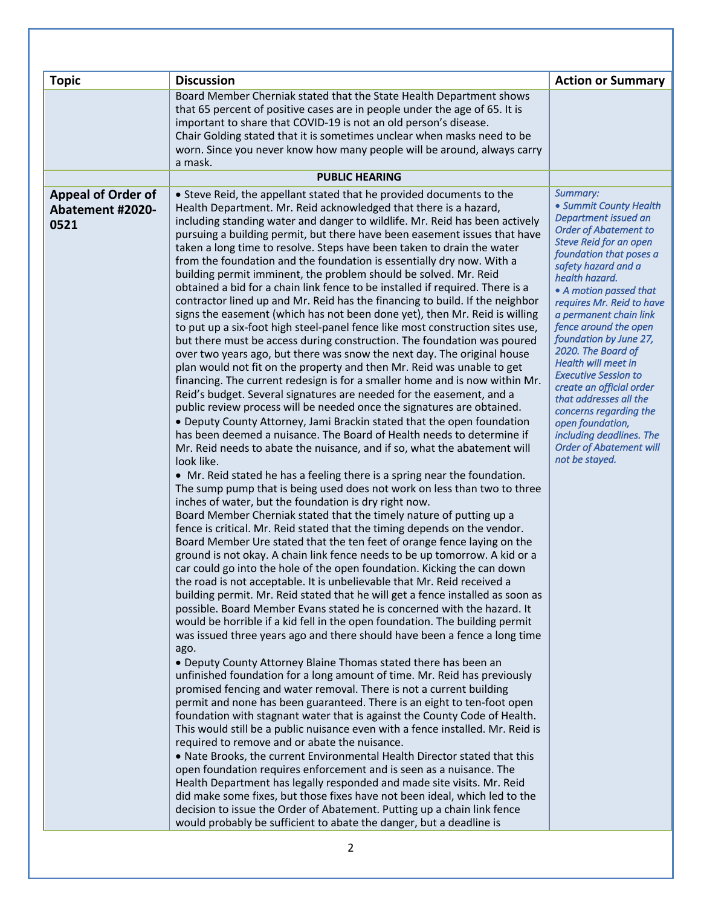| <b>Topic</b><br><b>Appeal of Order of</b><br><b>Abatement #2020-</b><br>0521 | <b>Discussion</b><br>Board Member Cherniak stated that the State Health Department shows<br>that 65 percent of positive cases are in people under the age of 65. It is<br>important to share that COVID-19 is not an old person's disease.<br>Chair Golding stated that it is sometimes unclear when masks need to be<br>worn. Since you never know how many people will be around, always carry<br>a mask.<br><b>PUBLIC HEARING</b><br>• Steve Reid, the appellant stated that he provided documents to the<br>Health Department. Mr. Reid acknowledged that there is a hazard,<br>including standing water and danger to wildlife. Mr. Reid has been actively<br>pursuing a building permit, but there have been easement issues that have<br>taken a long time to resolve. Steps have been taken to drain the water<br>from the foundation and the foundation is essentially dry now. With a<br>building permit imminent, the problem should be solved. Mr. Reid<br>obtained a bid for a chain link fence to be installed if required. There is a<br>contractor lined up and Mr. Reid has the financing to build. If the neighbor<br>signs the easement (which has not been done yet), then Mr. Reid is willing<br>to put up a six-foot high steel-panel fence like most construction sites use,<br>but there must be access during construction. The foundation was poured<br>over two years ago, but there was snow the next day. The original house<br>plan would not fit on the property and then Mr. Reid was unable to get<br>financing. The current redesign is for a smaller home and is now within Mr.                                                                                                                                                                                                                                                                                                                                                                                              | <b>Action or Summary</b><br>Summary:<br>• Summit County Health<br>Department issued an<br><b>Order of Abatement to</b><br><b>Steve Reid for an open</b><br>foundation that poses a<br>safety hazard and a<br>health hazard.<br>• A motion passed that<br>requires Mr. Reid to have<br>a permanent chain link<br>fence around the open<br>foundation by June 27,<br>2020. The Board of<br>Health will meet in<br><b>Executive Session to</b><br>create an official order |
|------------------------------------------------------------------------------|-----------------------------------------------------------------------------------------------------------------------------------------------------------------------------------------------------------------------------------------------------------------------------------------------------------------------------------------------------------------------------------------------------------------------------------------------------------------------------------------------------------------------------------------------------------------------------------------------------------------------------------------------------------------------------------------------------------------------------------------------------------------------------------------------------------------------------------------------------------------------------------------------------------------------------------------------------------------------------------------------------------------------------------------------------------------------------------------------------------------------------------------------------------------------------------------------------------------------------------------------------------------------------------------------------------------------------------------------------------------------------------------------------------------------------------------------------------------------------------------------------------------------------------------------------------------------------------------------------------------------------------------------------------------------------------------------------------------------------------------------------------------------------------------------------------------------------------------------------------------------------------------------------------------------------------------------------------------------------------------------------------------|-------------------------------------------------------------------------------------------------------------------------------------------------------------------------------------------------------------------------------------------------------------------------------------------------------------------------------------------------------------------------------------------------------------------------------------------------------------------------|
|                                                                              | Reid's budget. Several signatures are needed for the easement, and a<br>public review process will be needed once the signatures are obtained.<br>. Deputy County Attorney, Jami Brackin stated that the open foundation<br>has been deemed a nuisance. The Board of Health needs to determine if<br>Mr. Reid needs to abate the nuisance, and if so, what the abatement will<br>look like.<br>• Mr. Reid stated he has a feeling there is a spring near the foundation.<br>The sump pump that is being used does not work on less than two to three<br>inches of water, but the foundation is dry right now.<br>Board Member Cherniak stated that the timely nature of putting up a<br>fence is critical. Mr. Reid stated that the timing depends on the vendor.<br>Board Member Ure stated that the ten feet of orange fence laying on the<br>ground is not okay. A chain link fence needs to be up tomorrow. A kid or a<br>car could go into the hole of the open foundation. Kicking the can down<br>the road is not acceptable. It is unbelievable that Mr. Reid received a<br>building permit. Mr. Reid stated that he will get a fence installed as soon as<br>possible. Board Member Evans stated he is concerned with the hazard. It<br>would be horrible if a kid fell in the open foundation. The building permit<br>was issued three years ago and there should have been a fence a long time<br>ago.<br>• Deputy County Attorney Blaine Thomas stated there has been an<br>unfinished foundation for a long amount of time. Mr. Reid has previously<br>promised fencing and water removal. There is not a current building<br>permit and none has been guaranteed. There is an eight to ten-foot open<br>foundation with stagnant water that is against the County Code of Health.<br>This would still be a public nuisance even with a fence installed. Mr. Reid is<br>required to remove and or abate the nuisance.<br>. Nate Brooks, the current Environmental Health Director stated that this | that addresses all the<br>concerns regarding the<br>open foundation,<br>including deadlines. The<br><b>Order of Abatement will</b><br>not be stayed.                                                                                                                                                                                                                                                                                                                    |
|                                                                              | open foundation requires enforcement and is seen as a nuisance. The<br>Health Department has legally responded and made site visits. Mr. Reid<br>did make some fixes, but those fixes have not been ideal, which led to the<br>decision to issue the Order of Abatement. Putting up a chain link fence<br>would probably be sufficient to abate the danger, but a deadline is                                                                                                                                                                                                                                                                                                                                                                                                                                                                                                                                                                                                                                                                                                                                                                                                                                                                                                                                                                                                                                                                                                                                                                                                                                                                                                                                                                                                                                                                                                                                                                                                                                   |                                                                                                                                                                                                                                                                                                                                                                                                                                                                         |
| $\overline{2}$                                                               |                                                                                                                                                                                                                                                                                                                                                                                                                                                                                                                                                                                                                                                                                                                                                                                                                                                                                                                                                                                                                                                                                                                                                                                                                                                                                                                                                                                                                                                                                                                                                                                                                                                                                                                                                                                                                                                                                                                                                                                                                 |                                                                                                                                                                                                                                                                                                                                                                                                                                                                         |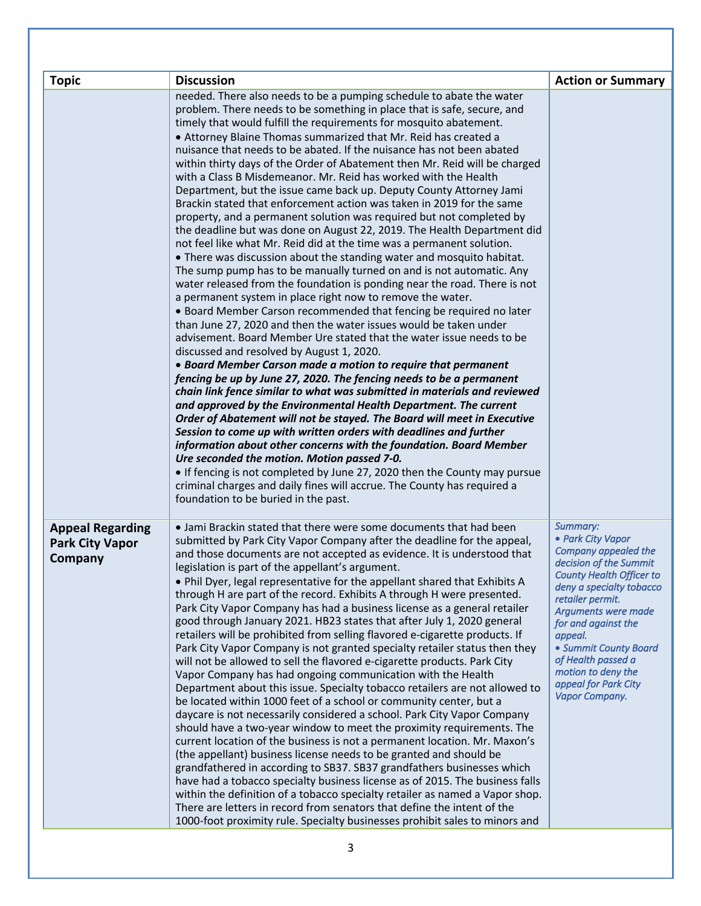| <b>Topic</b>                                                 | <b>Discussion</b>                                                                                                                                                                                                                                                                                                                                                                                                                                                                                                                                                                                                                                                                                                                                                                                                                                                                                                                                                                                                                                                                                                                                                                                                                                                                                                                                                                                                                                                                                                                                                                                                                                                                                                                                                                                                                                                                                                                                                                                                                                                                                                                                                                                                        | <b>Action or Summary</b>                                                                                                                                                                                                                                                                                                                   |
|--------------------------------------------------------------|--------------------------------------------------------------------------------------------------------------------------------------------------------------------------------------------------------------------------------------------------------------------------------------------------------------------------------------------------------------------------------------------------------------------------------------------------------------------------------------------------------------------------------------------------------------------------------------------------------------------------------------------------------------------------------------------------------------------------------------------------------------------------------------------------------------------------------------------------------------------------------------------------------------------------------------------------------------------------------------------------------------------------------------------------------------------------------------------------------------------------------------------------------------------------------------------------------------------------------------------------------------------------------------------------------------------------------------------------------------------------------------------------------------------------------------------------------------------------------------------------------------------------------------------------------------------------------------------------------------------------------------------------------------------------------------------------------------------------------------------------------------------------------------------------------------------------------------------------------------------------------------------------------------------------------------------------------------------------------------------------------------------------------------------------------------------------------------------------------------------------------------------------------------------------------------------------------------------------|--------------------------------------------------------------------------------------------------------------------------------------------------------------------------------------------------------------------------------------------------------------------------------------------------------------------------------------------|
|                                                              | needed. There also needs to be a pumping schedule to abate the water<br>problem. There needs to be something in place that is safe, secure, and<br>timely that would fulfill the requirements for mosquito abatement.<br>• Attorney Blaine Thomas summarized that Mr. Reid has created a<br>nuisance that needs to be abated. If the nuisance has not been abated<br>within thirty days of the Order of Abatement then Mr. Reid will be charged<br>with a Class B Misdemeanor. Mr. Reid has worked with the Health<br>Department, but the issue came back up. Deputy County Attorney Jami<br>Brackin stated that enforcement action was taken in 2019 for the same<br>property, and a permanent solution was required but not completed by<br>the deadline but was done on August 22, 2019. The Health Department did<br>not feel like what Mr. Reid did at the time was a permanent solution.<br>• There was discussion about the standing water and mosquito habitat.<br>The sump pump has to be manually turned on and is not automatic. Any<br>water released from the foundation is ponding near the road. There is not<br>a permanent system in place right now to remove the water.<br>• Board Member Carson recommended that fencing be required no later<br>than June 27, 2020 and then the water issues would be taken under<br>advisement. Board Member Ure stated that the water issue needs to be<br>discussed and resolved by August 1, 2020.<br>• Board Member Carson made a motion to require that permanent<br>fencing be up by June 27, 2020. The fencing needs to be a permanent<br>chain link fence similar to what was submitted in materials and reviewed<br>and approved by the Environmental Health Department. The current<br>Order of Abatement will not be stayed. The Board will meet in Executive<br>Session to come up with written orders with deadlines and further<br>information about other concerns with the foundation. Board Member<br>Ure seconded the motion. Motion passed 7-0.<br>• If fencing is not completed by June 27, 2020 then the County may pursue<br>criminal charges and daily fines will accrue. The County has required a<br>foundation to be buried in the past. |                                                                                                                                                                                                                                                                                                                                            |
| <b>Appeal Regarding</b><br><b>Park City Vapor</b><br>Company | • Jami Brackin stated that there were some documents that had been<br>submitted by Park City Vapor Company after the deadline for the appeal,<br>and those documents are not accepted as evidence. It is understood that<br>legislation is part of the appellant's argument.<br>• Phil Dyer, legal representative for the appellant shared that Exhibits A<br>through H are part of the record. Exhibits A through H were presented.<br>Park City Vapor Company has had a business license as a general retailer<br>good through January 2021. HB23 states that after July 1, 2020 general<br>retailers will be prohibited from selling flavored e-cigarette products. If<br>Park City Vapor Company is not granted specialty retailer status then they<br>will not be allowed to sell the flavored e-cigarette products. Park City<br>Vapor Company has had ongoing communication with the Health<br>Department about this issue. Specialty tobacco retailers are not allowed to<br>be located within 1000 feet of a school or community center, but a<br>daycare is not necessarily considered a school. Park City Vapor Company<br>should have a two-year window to meet the proximity requirements. The<br>current location of the business is not a permanent location. Mr. Maxon's<br>(the appellant) business license needs to be granted and should be<br>grandfathered in according to SB37. SB37 grandfathers businesses which<br>have had a tobacco specialty business license as of 2015. The business falls<br>within the definition of a tobacco specialty retailer as named a Vapor shop.<br>There are letters in record from senators that define the intent of the<br>1000-foot proximity rule. Specialty businesses prohibit sales to minors and                                                                                                                                                                                                                                                                                                                                                                                                                                                       | Summary:<br>• Park City Vapor<br>Company appealed the<br>decision of the Summit<br><b>County Health Officer to</b><br>deny a specialty tobacco<br>retailer permit.<br>Arguments were made<br>for and against the<br>appeal.<br>• Summit County Board<br>of Health passed a<br>motion to deny the<br>appeal for Park City<br>Vapor Company. |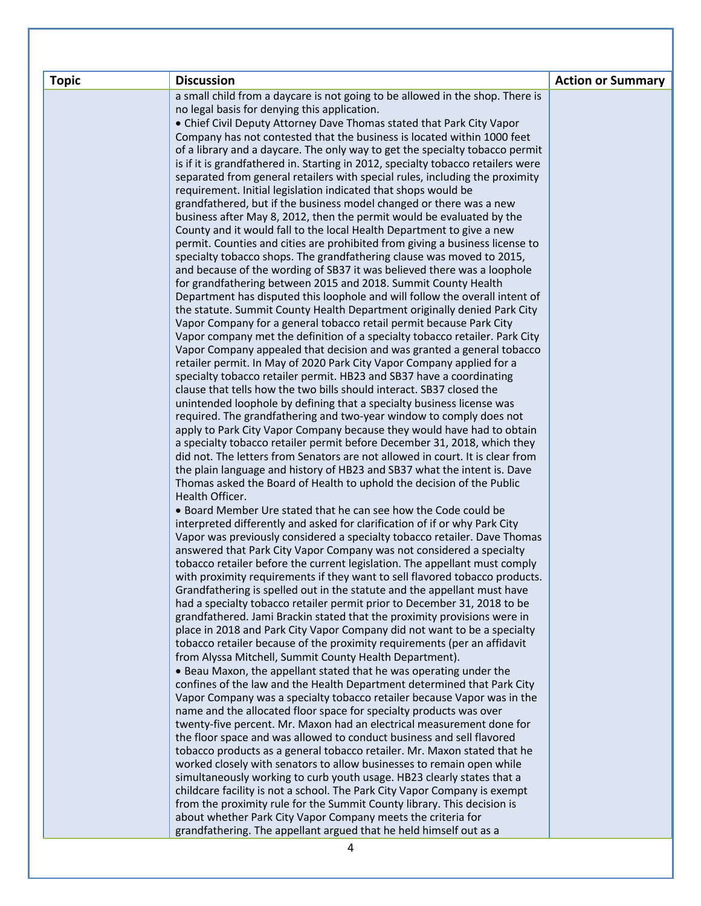| <b>Topic</b> | <b>Discussion</b>                                                                                                                                                | <b>Action or Summary</b> |
|--------------|------------------------------------------------------------------------------------------------------------------------------------------------------------------|--------------------------|
|              | a small child from a daycare is not going to be allowed in the shop. There is                                                                                    |                          |
|              | no legal basis for denying this application.                                                                                                                     |                          |
|              | • Chief Civil Deputy Attorney Dave Thomas stated that Park City Vapor                                                                                            |                          |
|              | Company has not contested that the business is located within 1000 feet                                                                                          |                          |
|              | of a library and a daycare. The only way to get the specialty tobacco permit<br>is if it is grandfathered in. Starting in 2012, specialty tobacco retailers were |                          |
|              | separated from general retailers with special rules, including the proximity                                                                                     |                          |
|              | requirement. Initial legislation indicated that shops would be                                                                                                   |                          |
|              | grandfathered, but if the business model changed or there was a new                                                                                              |                          |
|              | business after May 8, 2012, then the permit would be evaluated by the                                                                                            |                          |
|              | County and it would fall to the local Health Department to give a new                                                                                            |                          |
|              | permit. Counties and cities are prohibited from giving a business license to                                                                                     |                          |
|              | specialty tobacco shops. The grandfathering clause was moved to 2015,                                                                                            |                          |
|              | and because of the wording of SB37 it was believed there was a loophole                                                                                          |                          |
|              | for grandfathering between 2015 and 2018. Summit County Health                                                                                                   |                          |
|              | Department has disputed this loophole and will follow the overall intent of<br>the statute. Summit County Health Department originally denied Park City          |                          |
|              | Vapor Company for a general tobacco retail permit because Park City                                                                                              |                          |
|              | Vapor company met the definition of a specialty tobacco retailer. Park City                                                                                      |                          |
|              | Vapor Company appealed that decision and was granted a general tobacco                                                                                           |                          |
|              | retailer permit. In May of 2020 Park City Vapor Company applied for a                                                                                            |                          |
|              | specialty tobacco retailer permit. HB23 and SB37 have a coordinating                                                                                             |                          |
|              | clause that tells how the two bills should interact. SB37 closed the                                                                                             |                          |
|              | unintended loophole by defining that a specialty business license was                                                                                            |                          |
|              | required. The grandfathering and two-year window to comply does not<br>apply to Park City Vapor Company because they would have had to obtain                    |                          |
|              | a specialty tobacco retailer permit before December 31, 2018, which they                                                                                         |                          |
|              | did not. The letters from Senators are not allowed in court. It is clear from                                                                                    |                          |
|              | the plain language and history of HB23 and SB37 what the intent is. Dave                                                                                         |                          |
|              | Thomas asked the Board of Health to uphold the decision of the Public                                                                                            |                          |
|              | Health Officer.                                                                                                                                                  |                          |
|              | • Board Member Ure stated that he can see how the Code could be                                                                                                  |                          |
|              | interpreted differently and asked for clarification of if or why Park City                                                                                       |                          |
|              | Vapor was previously considered a specialty tobacco retailer. Dave Thomas                                                                                        |                          |
|              | answered that Park City Vapor Company was not considered a specialty<br>tobacco retailer before the current legislation. The appellant must comply               |                          |
|              | with proximity requirements if they want to sell flavored tobacco products.                                                                                      |                          |
|              | Grandfathering is spelled out in the statute and the appellant must have                                                                                         |                          |
|              | had a specialty tobacco retailer permit prior to December 31, 2018 to be                                                                                         |                          |
|              | grandfathered. Jami Brackin stated that the proximity provisions were in                                                                                         |                          |
|              | place in 2018 and Park City Vapor Company did not want to be a specialty                                                                                         |                          |
|              | tobacco retailer because of the proximity requirements (per an affidavit                                                                                         |                          |
|              | from Alyssa Mitchell, Summit County Health Department).<br>• Beau Maxon, the appellant stated that he was operating under the                                    |                          |
|              | confines of the law and the Health Department determined that Park City                                                                                          |                          |
|              | Vapor Company was a specialty tobacco retailer because Vapor was in the                                                                                          |                          |
|              | name and the allocated floor space for specialty products was over                                                                                               |                          |
|              | twenty-five percent. Mr. Maxon had an electrical measurement done for                                                                                            |                          |
|              | the floor space and was allowed to conduct business and sell flavored                                                                                            |                          |
|              | tobacco products as a general tobacco retailer. Mr. Maxon stated that he                                                                                         |                          |
|              | worked closely with senators to allow businesses to remain open while<br>simultaneously working to curb youth usage. HB23 clearly states that a                  |                          |
|              | childcare facility is not a school. The Park City Vapor Company is exempt                                                                                        |                          |
|              | from the proximity rule for the Summit County library. This decision is                                                                                          |                          |
|              | about whether Park City Vapor Company meets the criteria for                                                                                                     |                          |
|              | grandfathering. The appellant argued that he held himself out as a                                                                                               |                          |
|              | 4                                                                                                                                                                |                          |